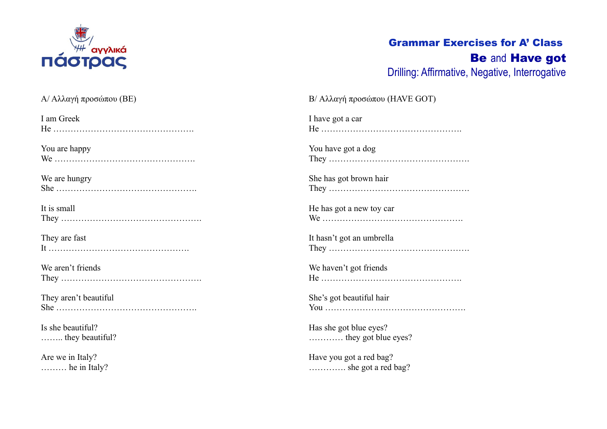

## Grammar Exercises for A' Class Be and Have got Drilling: Affirmative, Negative, Interrogative

| Α/ Αλλαγή προσώπου (BE) | Β/ Αλλαγή προσώπου (HAVE GOT) |
|-------------------------|-------------------------------|
| I am Greek              | I have got a car              |
|                         |                               |
| You are happy           | You have got a dog            |
|                         |                               |
| We are hungry           | She has got brown hair        |
|                         |                               |
| It is small             | He has got a new toy car      |
|                         |                               |
| They are fast           | It hasn't got an umbrella     |
|                         |                               |
| We aren't friends       | We haven't got friends        |
|                         |                               |
| They aren't beautiful   | She's got beautiful hair      |
|                         |                               |
| Is she beautiful?       | Has she got blue eyes?        |
| they beautiful?         | they got blue eyes?           |
| Are we in Italy?        | Have you got a red bag?       |
| $\ldots$ he in Italy?   | she got a red bag?            |